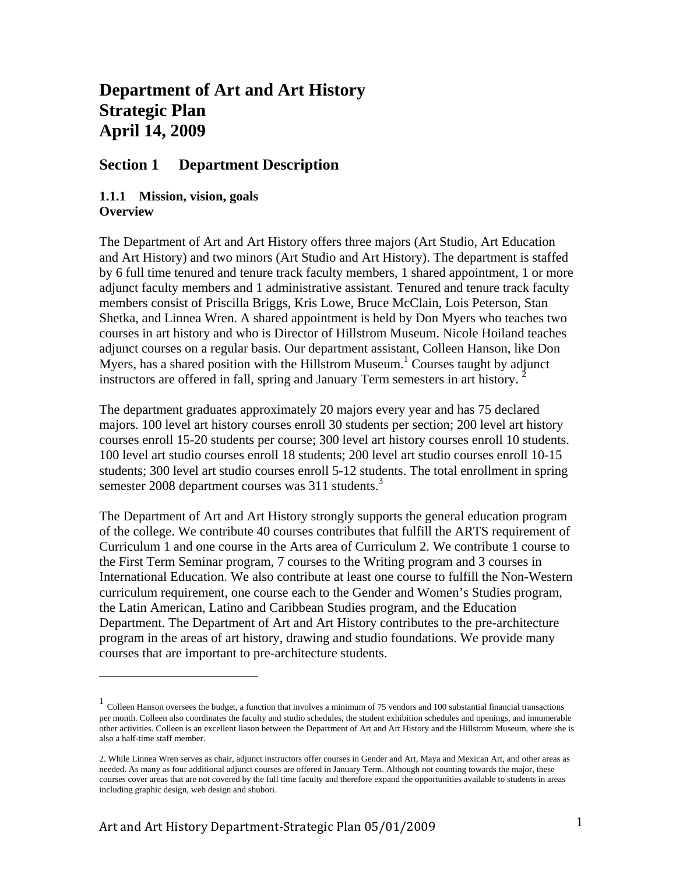# **Department of Art and Art History Strategic Plan April 14, 2009**

# **Section 1 Department Description**

### **1.1.1 Mission, vision, goals Overview**

The Department of Art and Art History offers three majors (Art Studio, Art Education and Art History) and two minors (Art Studio and Art History). The department is staffed by 6 full time tenured and tenure track faculty members, 1 shared appointment, 1 or more adjunct faculty members and 1 administrative assistant. Tenured and tenure track faculty members consist of Priscilla Briggs, Kris Lowe, Bruce McClain, Lois Peterson, Stan Shetka, and Linnea Wren. A shared appointment is held by Don Myers who teaches two courses in art history and who is Director of Hillstrom Museum. Nicole Hoiland teaches adjunct courses on a regular basis. Our department assistant, Colleen Hanson, like Don Myers, has a shared position with the Hillstrom Museum.<sup>1</sup> Courses taught by adjunct instructors are offered in fall, spring and January Term semesters in art history.<sup>2</sup>

The department graduates approximately 20 majors every year and has 75 declared majors. 100 level art history courses enroll 30 students per section; 200 level art history courses enroll 15-20 students per course; 300 level art history courses enroll 10 students. 100 level art studio courses enroll 18 students; 200 level art studio courses enroll 10-15 students; 300 level art studio courses enroll 5-12 students. The total enrollment in spring semester 2008 department courses was 311 students.<sup>3</sup>

The Department of Art and Art History strongly supports the general education program of the college. We contribute 40 courses contributes that fulfill the ARTS requirement of Curriculum 1 and one course in the Arts area of Curriculum 2. We contribute 1 course to the First Term Seminar program, 7 courses to the Writing program and 3 courses in International Education. We also contribute at least one course to fulfill the Non-Western curriculum requirement, one course each to the Gender and Women's Studies program, the Latin American, Latino and Caribbean Studies program, and the Education Department. The Department of Art and Art History contributes to the pre-architecture program in the areas of art history, drawing and studio foundations. We provide many courses that are important to pre-architecture students.

<sup>&</sup>lt;sup>1</sup> Colleen Hanson oversees the budget, a function that involves a minimum of 75 vendors and 100 substantial financial transactions per month. Colleen also coordinates the faculty and studio schedules, the student exhibition schedules and openings, and innumerable other activities. Colleen is an excellent liason between the Department of Art and Art History and the Hillstrom Museum, where she is also a half-time staff member.

<sup>2.</sup> While Linnea Wren serves as chair, adjunct instructors offer courses in Gender and Art, Maya and Mexican Art, and other areas as needed. As many as four additional adjunct courses are offered in January Term. Although not counting towards the major, these courses cover areas that are not covered by the full time faculty and therefore expand the opportunities available to students in areas including graphic design, web design and shubori.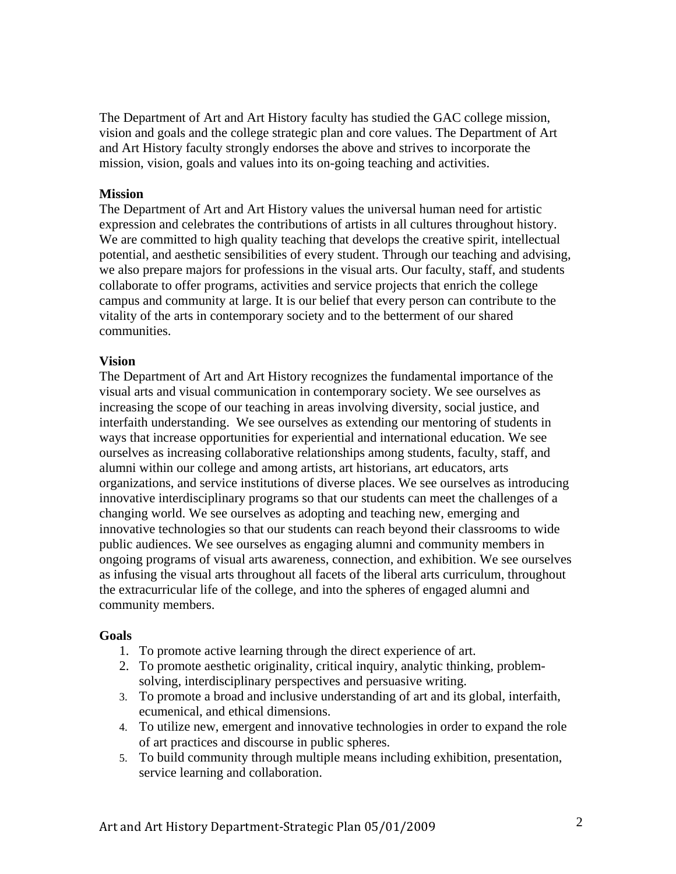The Department of Art and Art History faculty has studied the GAC college mission, vision and goals and the college strategic plan and core values. The Department of Art and Art History faculty strongly endorses the above and strives to incorporate the mission, vision, goals and values into its on-going teaching and activities.

#### **Mission**

The Department of Art and Art History values the universal human need for artistic expression and celebrates the contributions of artists in all cultures throughout history. We are committed to high quality teaching that develops the creative spirit, intellectual potential, and aesthetic sensibilities of every student. Through our teaching and advising, we also prepare majors for professions in the visual arts. Our faculty, staff, and students collaborate to offer programs, activities and service projects that enrich the college campus and community at large. It is our belief that every person can contribute to the vitality of the arts in contemporary society and to the betterment of our shared communities.

#### **Vision**

The Department of Art and Art History recognizes the fundamental importance of the visual arts and visual communication in contemporary society. We see ourselves as increasing the scope of our teaching in areas involving diversity, social justice, and interfaith understanding. We see ourselves as extending our mentoring of students in ways that increase opportunities for experiential and international education. We see ourselves as increasing collaborative relationships among students, faculty, staff, and alumni within our college and among artists, art historians, art educators, arts organizations, and service institutions of diverse places. We see ourselves as introducing innovative interdisciplinary programs so that our students can meet the challenges of a changing world. We see ourselves as adopting and teaching new, emerging and innovative technologies so that our students can reach beyond their classrooms to wide public audiences. We see ourselves as engaging alumni and community members in ongoing programs of visual arts awareness, connection, and exhibition. We see ourselves as infusing the visual arts throughout all facets of the liberal arts curriculum, throughout the extracurricular life of the college, and into the spheres of engaged alumni and community members.

#### **Goals**

- 1. To promote active learning through the direct experience of art.
- 2. To promote aesthetic originality, critical inquiry, analytic thinking, problemsolving, interdisciplinary perspectives and persuasive writing.
- 3. To promote a broad and inclusive understanding of art and its global, interfaith, ecumenical, and ethical dimensions.
- 4. To utilize new, emergent and innovative technologies in order to expand the role of art practices and discourse in public spheres.
- 5. To build community through multiple means including exhibition, presentation, service learning and collaboration.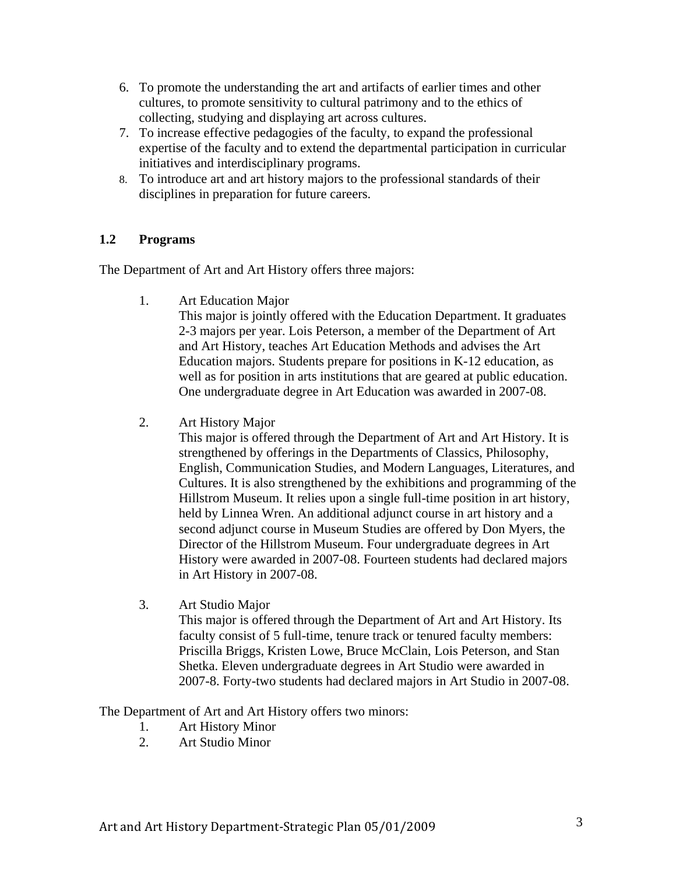- 6. To promote the understanding the art and artifacts of earlier times and other cultures, to promote sensitivity to cultural patrimony and to the ethics of collecting, studying and displaying art across cultures.
- 7. To increase effective pedagogies of the faculty, to expand the professional expertise of the faculty and to extend the departmental participation in curricular initiatives and interdisciplinary programs.
- 8. To introduce art and art history majors to the professional standards of their disciplines in preparation for future careers.

### **1.2 Programs**

The Department of Art and Art History offers three majors:

1. Art Education Major

This major is jointly offered with the Education Department. It graduates 2-3 majors per year. Lois Peterson, a member of the Department of Art and Art History, teaches Art Education Methods and advises the Art Education majors. Students prepare for positions in K-12 education, as well as for position in arts institutions that are geared at public education. One undergraduate degree in Art Education was awarded in 2007-08.

2. Art History Major

This major is offered through the Department of Art and Art History. It is strengthened by offerings in the Departments of Classics, Philosophy, English, Communication Studies, and Modern Languages, Literatures, and Cultures. It is also strengthened by the exhibitions and programming of the Hillstrom Museum. It relies upon a single full-time position in art history, held by Linnea Wren. An additional adjunct course in art history and a second adjunct course in Museum Studies are offered by Don Myers, the Director of the Hillstrom Museum. Four undergraduate degrees in Art History were awarded in 2007-08. Fourteen students had declared majors in Art History in 2007-08.

3. Art Studio Major

This major is offered through the Department of Art and Art History. Its faculty consist of 5 full-time, tenure track or tenured faculty members: Priscilla Briggs, Kristen Lowe, Bruce McClain, Lois Peterson, and Stan Shetka. Eleven undergraduate degrees in Art Studio were awarded in 2007-8. Forty-two students had declared majors in Art Studio in 2007-08.

The Department of Art and Art History offers two minors:

- 1. Art History Minor
- 2. Art Studio Minor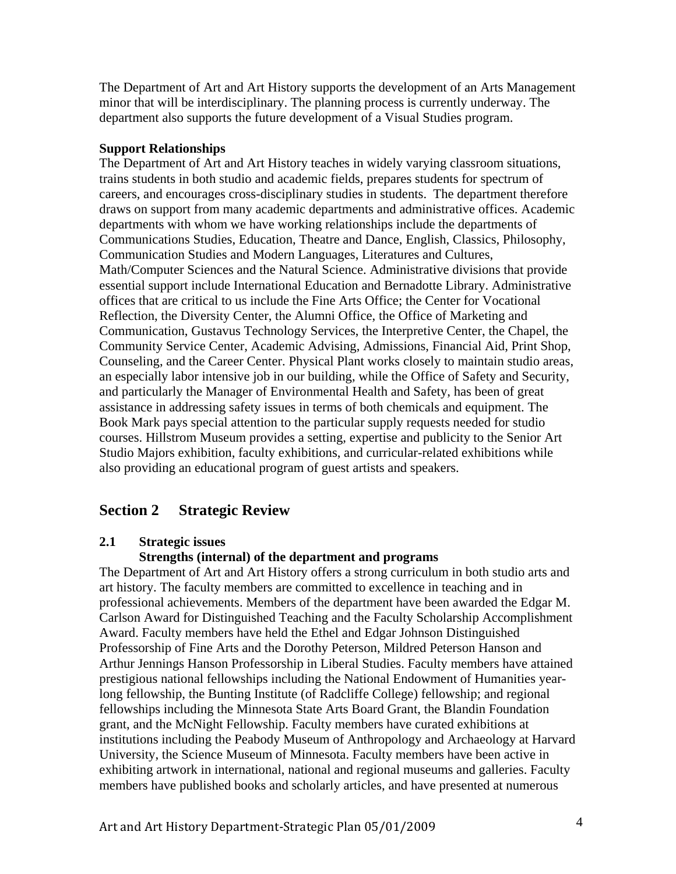The Department of Art and Art History supports the development of an Arts Management minor that will be interdisciplinary. The planning process is currently underway. The department also supports the future development of a Visual Studies program.

#### **Support Relationships**

The Department of Art and Art History teaches in widely varying classroom situations, trains students in both studio and academic fields, prepares students for spectrum of careers, and encourages cross-disciplinary studies in students. The department therefore draws on support from many academic departments and administrative offices. Academic departments with whom we have working relationships include the departments of Communications Studies, Education, Theatre and Dance, English, Classics, Philosophy, Communication Studies and Modern Languages, Literatures and Cultures, Math/Computer Sciences and the Natural Science. Administrative divisions that provide essential support include International Education and Bernadotte Library. Administrative offices that are critical to us include the Fine Arts Office; the Center for Vocational Reflection, the Diversity Center, the Alumni Office, the Office of Marketing and Communication, Gustavus Technology Services, the Interpretive Center, the Chapel, the Community Service Center, Academic Advising, Admissions, Financial Aid, Print Shop, Counseling, and the Career Center. Physical Plant works closely to maintain studio areas, an especially labor intensive job in our building, while the Office of Safety and Security, and particularly the Manager of Environmental Health and Safety, has been of great assistance in addressing safety issues in terms of both chemicals and equipment. The Book Mark pays special attention to the particular supply requests needed for studio courses. Hillstrom Museum provides a setting, expertise and publicity to the Senior Art Studio Majors exhibition, faculty exhibitions, and curricular-related exhibitions while also providing an educational program of guest artists and speakers.

# **Section 2 Strategic Review**

### **2.1 Strategic issues**

#### **Strengths (internal) of the department and programs**

The Department of Art and Art History offers a strong curriculum in both studio arts and art history. The faculty members are committed to excellence in teaching and in professional achievements. Members of the department have been awarded the Edgar M. Carlson Award for Distinguished Teaching and the Faculty Scholarship Accomplishment Award. Faculty members have held the Ethel and Edgar Johnson Distinguished Professorship of Fine Arts and the Dorothy Peterson, Mildred Peterson Hanson and Arthur Jennings Hanson Professorship in Liberal Studies. Faculty members have attained prestigious national fellowships including the National Endowment of Humanities yearlong fellowship, the Bunting Institute (of Radcliffe College) fellowship; and regional fellowships including the Minnesota State Arts Board Grant, the Blandin Foundation grant, and the McNight Fellowship. Faculty members have curated exhibitions at institutions including the Peabody Museum of Anthropology and Archaeology at Harvard University, the Science Museum of Minnesota. Faculty members have been active in exhibiting artwork in international, national and regional museums and galleries. Faculty members have published books and scholarly articles, and have presented at numerous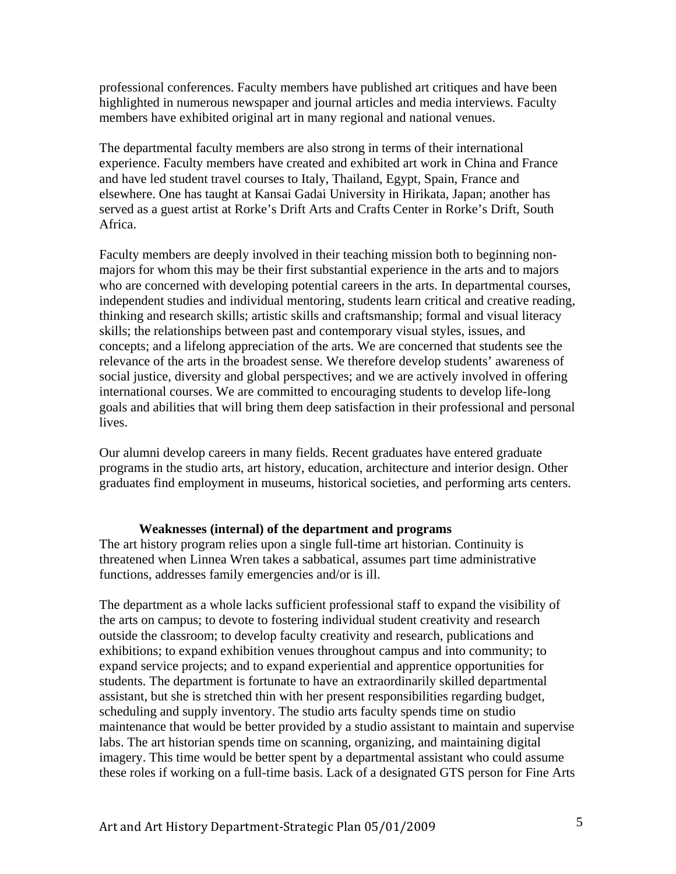professional conferences. Faculty members have published art critiques and have been highlighted in numerous newspaper and journal articles and media interviews. Faculty members have exhibited original art in many regional and national venues.

The departmental faculty members are also strong in terms of their international experience. Faculty members have created and exhibited art work in China and France and have led student travel courses to Italy, Thailand, Egypt, Spain, France and elsewhere. One has taught at Kansai Gadai University in Hirikata, Japan; another has served as a guest artist at Rorke's Drift Arts and Crafts Center in Rorke's Drift, South Africa.

Faculty members are deeply involved in their teaching mission both to beginning nonmajors for whom this may be their first substantial experience in the arts and to majors who are concerned with developing potential careers in the arts. In departmental courses, independent studies and individual mentoring, students learn critical and creative reading, thinking and research skills; artistic skills and craftsmanship; formal and visual literacy skills; the relationships between past and contemporary visual styles, issues, and concepts; and a lifelong appreciation of the arts. We are concerned that students see the relevance of the arts in the broadest sense. We therefore develop students' awareness of social justice, diversity and global perspectives; and we are actively involved in offering international courses. We are committed to encouraging students to develop life-long goals and abilities that will bring them deep satisfaction in their professional and personal lives.

Our alumni develop careers in many fields. Recent graduates have entered graduate programs in the studio arts, art history, education, architecture and interior design. Other graduates find employment in museums, historical societies, and performing arts centers.

#### **Weaknesses (internal) of the department and programs**

The art history program relies upon a single full-time art historian. Continuity is threatened when Linnea Wren takes a sabbatical, assumes part time administrative functions, addresses family emergencies and/or is ill.

The department as a whole lacks sufficient professional staff to expand the visibility of the arts on campus; to devote to fostering individual student creativity and research outside the classroom; to develop faculty creativity and research, publications and exhibitions; to expand exhibition venues throughout campus and into community; to expand service projects; and to expand experiential and apprentice opportunities for students. The department is fortunate to have an extraordinarily skilled departmental assistant, but she is stretched thin with her present responsibilities regarding budget, scheduling and supply inventory. The studio arts faculty spends time on studio maintenance that would be better provided by a studio assistant to maintain and supervise labs. The art historian spends time on scanning, organizing, and maintaining digital imagery. This time would be better spent by a departmental assistant who could assume these roles if working on a full-time basis. Lack of a designated GTS person for Fine Arts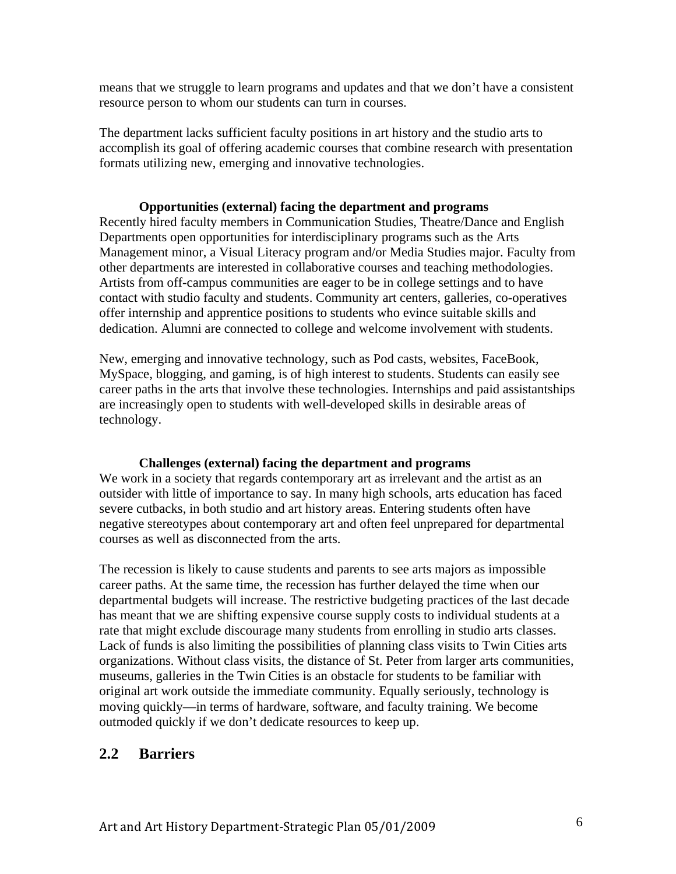means that we struggle to learn programs and updates and that we don't have a consistent resource person to whom our students can turn in courses.

The department lacks sufficient faculty positions in art history and the studio arts to accomplish its goal of offering academic courses that combine research with presentation formats utilizing new, emerging and innovative technologies.

#### **Opportunities (external) facing the department and programs**

Recently hired faculty members in Communication Studies, Theatre/Dance and English Departments open opportunities for interdisciplinary programs such as the Arts Management minor, a Visual Literacy program and/or Media Studies major. Faculty from other departments are interested in collaborative courses and teaching methodologies. Artists from off-campus communities are eager to be in college settings and to have contact with studio faculty and students. Community art centers, galleries, co-operatives offer internship and apprentice positions to students who evince suitable skills and dedication. Alumni are connected to college and welcome involvement with students.

New, emerging and innovative technology, such as Pod casts, websites, FaceBook, MySpace, blogging, and gaming, is of high interest to students. Students can easily see career paths in the arts that involve these technologies. Internships and paid assistantships are increasingly open to students with well-developed skills in desirable areas of technology.

### **Challenges (external) facing the department and programs**

We work in a society that regards contemporary art as irrelevant and the artist as an outsider with little of importance to say. In many high schools, arts education has faced severe cutbacks, in both studio and art history areas. Entering students often have negative stereotypes about contemporary art and often feel unprepared for departmental courses as well as disconnected from the arts.

The recession is likely to cause students and parents to see arts majors as impossible career paths. At the same time, the recession has further delayed the time when our departmental budgets will increase. The restrictive budgeting practices of the last decade has meant that we are shifting expensive course supply costs to individual students at a rate that might exclude discourage many students from enrolling in studio arts classes. Lack of funds is also limiting the possibilities of planning class visits to Twin Cities arts organizations. Without class visits, the distance of St. Peter from larger arts communities, museums, galleries in the Twin Cities is an obstacle for students to be familiar with original art work outside the immediate community. Equally seriously, technology is moving quickly—in terms of hardware, software, and faculty training. We become outmoded quickly if we don't dedicate resources to keep up.

# **2.2 Barriers**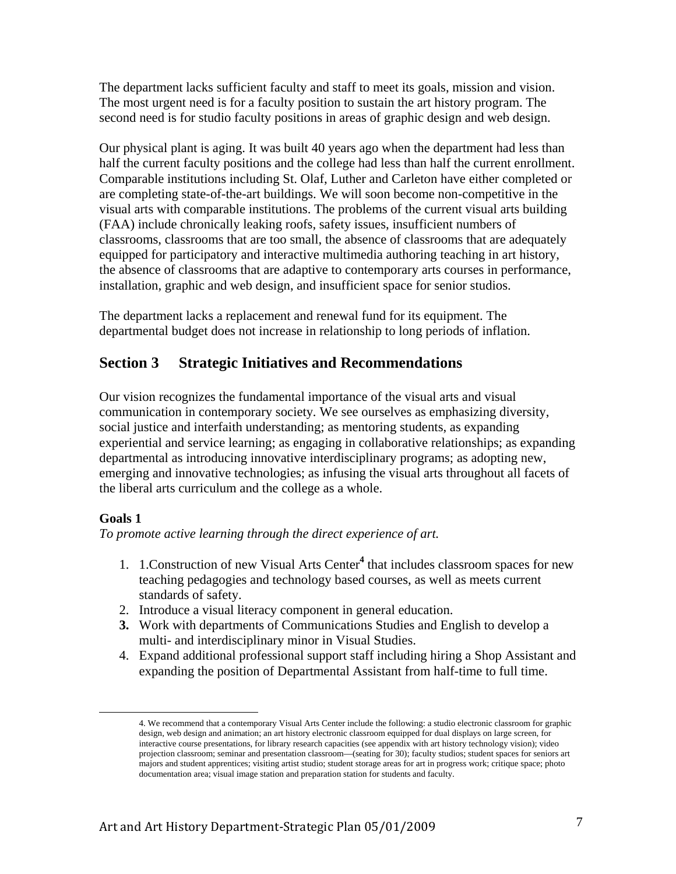The department lacks sufficient faculty and staff to meet its goals, mission and vision. The most urgent need is for a faculty position to sustain the art history program. The second need is for studio faculty positions in areas of graphic design and web design.

Our physical plant is aging. It was built 40 years ago when the department had less than half the current faculty positions and the college had less than half the current enrollment. Comparable institutions including St. Olaf, Luther and Carleton have either completed or are completing state-of-the-art buildings. We will soon become non-competitive in the visual arts with comparable institutions. The problems of the current visual arts building (FAA) include chronically leaking roofs, safety issues, insufficient numbers of classrooms, classrooms that are too small, the absence of classrooms that are adequately equipped for participatory and interactive multimedia authoring teaching in art history, the absence of classrooms that are adaptive to contemporary arts courses in performance, installation, graphic and web design, and insufficient space for senior studios.

The department lacks a replacement and renewal fund for its equipment. The departmental budget does not increase in relationship to long periods of inflation.

# **Section 3 Strategic Initiatives and Recommendations**

Our vision recognizes the fundamental importance of the visual arts and visual communication in contemporary society*.* We see ourselves as emphasizing diversity, social justice and interfaith understanding; as mentoring students, as expanding experiential and service learning; as engaging in collaborative relationships; as expanding departmental as introducing innovative interdisciplinary programs; as adopting new, emerging and innovative technologies; as infusing the visual arts throughout all facets of the liberal arts curriculum and the college as a whole.

### **Goals 1**

*To promote active learning through the direct experience of art.* 

- 1. 1.Construction of new Visual Arts Center**<sup>4</sup>** that includes classroom spaces for new teaching pedagogies and technology based courses, as well as meets current standards of safety.
- 2. Introduce a visual literacy component in general education.
- **3.** Work with departments of Communications Studies and English to develop a multi- and interdisciplinary minor in Visual Studies.
- 4. Expand additional professional support staff including hiring a Shop Assistant and expanding the position of Departmental Assistant from half-time to full time.

 4. We recommend that a contemporary Visual Arts Center include the following: a studio electronic classroom for graphic design, web design and animation; an art history electronic classroom equipped for dual displays on large screen, for interactive course presentations, for library research capacities (see appendix with art history technology vision); video projection classroom; seminar and presentation classroom—(seating for 30); faculty studios; student spaces for seniors art majors and student apprentices; visiting artist studio; student storage areas for art in progress work; critique space; photo documentation area; visual image station and preparation station for students and faculty.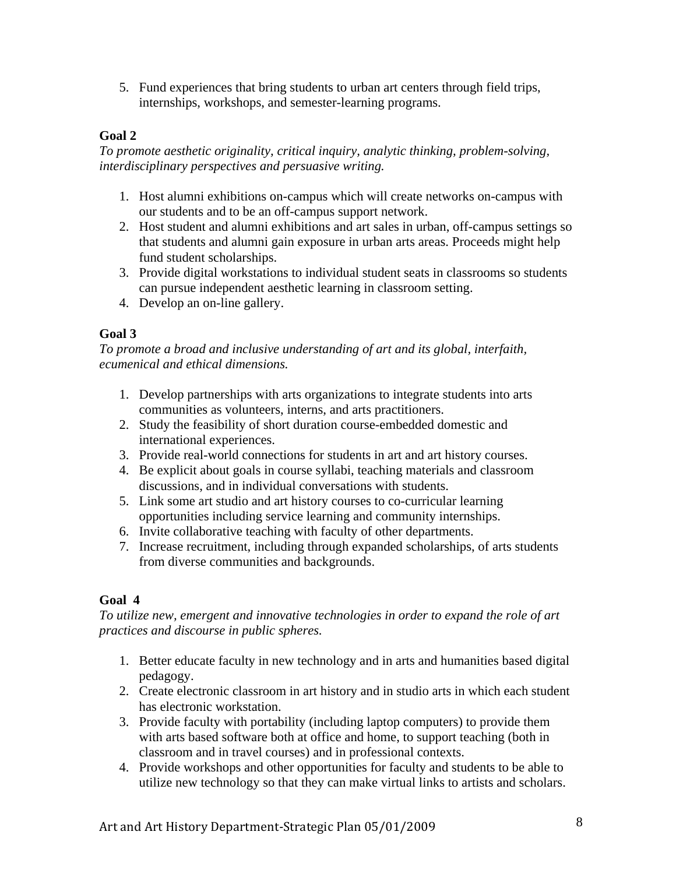5. Fund experiences that bring students to urban art centers through field trips, internships, workshops, and semester-learning programs.

### **Goal 2**

*To promote aesthetic originality, critical inquiry, analytic thinking, problem-solving, interdisciplinary perspectives and persuasive writing.* 

- 1. Host alumni exhibitions on-campus which will create networks on-campus with our students and to be an off-campus support network.
- 2. Host student and alumni exhibitions and art sales in urban, off-campus settings so that students and alumni gain exposure in urban arts areas. Proceeds might help fund student scholarships.
- 3. Provide digital workstations to individual student seats in classrooms so students can pursue independent aesthetic learning in classroom setting.
- 4. Develop an on-line gallery.

### **Goal 3**

*To promote a broad and inclusive understanding of art and its global, interfaith, ecumenical and ethical dimensions.* 

- 1. Develop partnerships with arts organizations to integrate students into arts communities as volunteers, interns, and arts practitioners.
- 2. Study the feasibility of short duration course-embedded domestic and international experiences.
- 3. Provide real-world connections for students in art and art history courses.
- 4. Be explicit about goals in course syllabi, teaching materials and classroom discussions, and in individual conversations with students.
- 5. Link some art studio and art history courses to co-curricular learning opportunities including service learning and community internships.
- 6. Invite collaborative teaching with faculty of other departments.
- 7. Increase recruitment, including through expanded scholarships, of arts students from diverse communities and backgrounds.

# **Goal 4**

*To utilize new, emergent and innovative technologies in order to expand the role of art practices and discourse in public spheres.*

- 1. Better educate faculty in new technology and in arts and humanities based digital pedagogy.
- 2. Create electronic classroom in art history and in studio arts in which each student has electronic workstation.
- 3. Provide faculty with portability (including laptop computers) to provide them with arts based software both at office and home, to support teaching (both in classroom and in travel courses) and in professional contexts.
- 4. Provide workshops and other opportunities for faculty and students to be able to utilize new technology so that they can make virtual links to artists and scholars.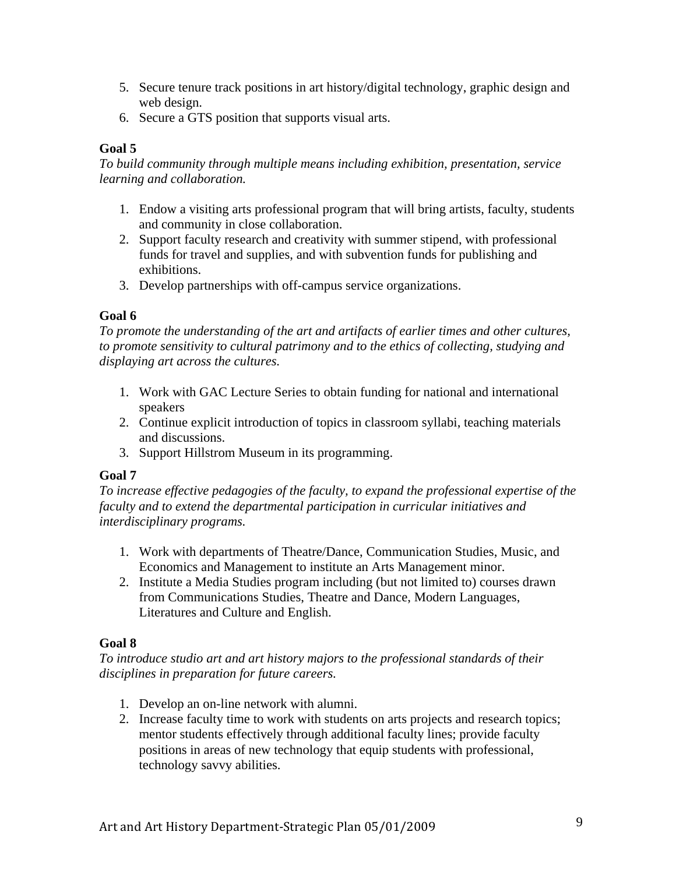- 5. Secure tenure track positions in art history/digital technology, graphic design and web design.
- 6. Secure a GTS position that supports visual arts.

### **Goal 5**

*To build community through multiple means including exhibition, presentation, service learning and collaboration.* 

- 1. Endow a visiting arts professional program that will bring artists, faculty, students and community in close collaboration.
- 2. Support faculty research and creativity with summer stipend, with professional funds for travel and supplies, and with subvention funds for publishing and exhibitions.
- 3. Develop partnerships with off-campus service organizations.

# **Goal 6**

*To promote the understanding of the art and artifacts of earlier times and other cultures, to promote sensitivity to cultural patrimony and to the ethics of collecting, studying and displaying art across the cultures.* 

- 1. Work with GAC Lecture Series to obtain funding for national and international speakers
- 2. Continue explicit introduction of topics in classroom syllabi, teaching materials and discussions.
- 3. Support Hillstrom Museum in its programming.

# **Goal 7**

*To increase effective pedagogies of the faculty, to expand the professional expertise of the faculty and to extend the departmental participation in curricular initiatives and interdisciplinary programs.* 

- 1. Work with departments of Theatre/Dance, Communication Studies, Music, and Economics and Management to institute an Arts Management minor.
- 2. Institute a Media Studies program including (but not limited to) courses drawn from Communications Studies, Theatre and Dance, Modern Languages, Literatures and Culture and English.

# **Goal 8**

*To introduce studio art and art history majors to the professional standards of their disciplines in preparation for future careers.* 

- 1. Develop an on-line network with alumni.
- 2. Increase faculty time to work with students on arts projects and research topics; mentor students effectively through additional faculty lines; provide faculty positions in areas of new technology that equip students with professional, technology savvy abilities.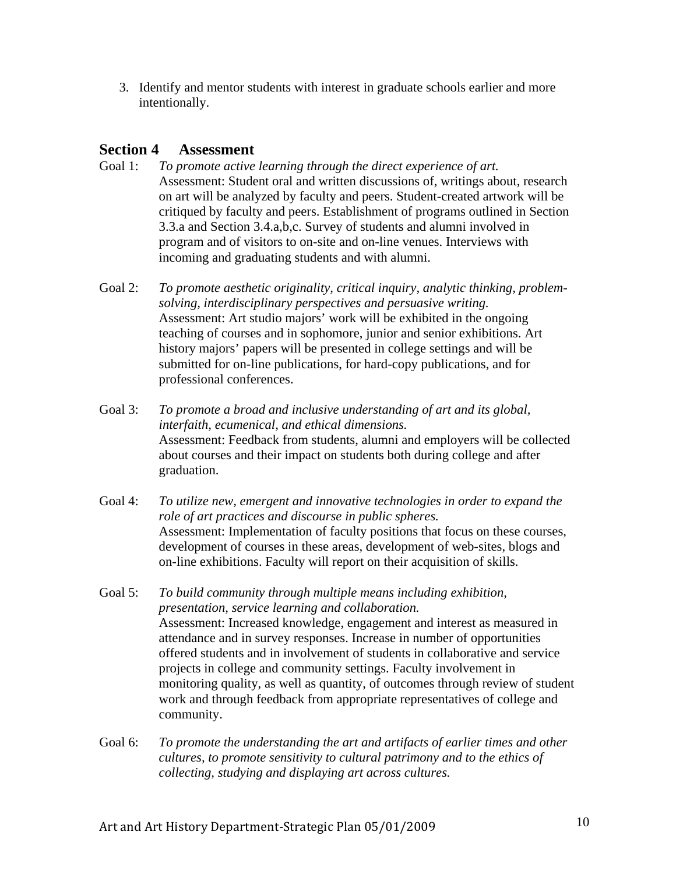3. Identify and mentor students with interest in graduate schools earlier and more intentionally.

# **Section 4 Assessment**

- Goal 1: *To promote active learning through the direct experience of art.* Assessment: Student oral and written discussions of, writings about, research on art will be analyzed by faculty and peers. Student-created artwork will be critiqued by faculty and peers. Establishment of programs outlined in Section 3.3.a and Section 3.4.a,b,c. Survey of students and alumni involved in program and of visitors to on-site and on-line venues. Interviews with incoming and graduating students and with alumni.
- Goal 2:*To promote aesthetic originality, critical inquiry, analytic thinking, problemsolving, interdisciplinary perspectives and persuasive writing.* Assessment: Art studio majors' work will be exhibited in the ongoing teaching of courses and in sophomore, junior and senior exhibitions. Art history majors' papers will be presented in college settings and will be submitted for on-line publications, for hard-copy publications, and for professional conferences.
- Goal 3:*To promote a broad and inclusive understanding of art and its global, interfaith, ecumenical, and ethical dimensions.*  Assessment: Feedback from students, alumni and employers will be collected about courses and their impact on students both during college and after graduation.
- Goal 4: *To utilize new, emergent and innovative technologies in order to expand the role of art practices and discourse in public spheres.*  Assessment: Implementation of faculty positions that focus on these courses, development of courses in these areas, development of web-sites, blogs and on-line exhibitions. Faculty will report on their acquisition of skills.
- Goal 5: *To build community through multiple means including exhibition, presentation, service learning and collaboration.* Assessment: Increased knowledge, engagement and interest as measured in attendance and in survey responses. Increase in number of opportunities offered students and in involvement of students in collaborative and service projects in college and community settings. Faculty involvement in monitoring quality, as well as quantity, of outcomes through review of student work and through feedback from appropriate representatives of college and community.
- Goal 6: *To promote the understanding the art and artifacts of earlier times and other cultures, to promote sensitivity to cultural patrimony and to the ethics of collecting, studying and displaying art across cultures.*